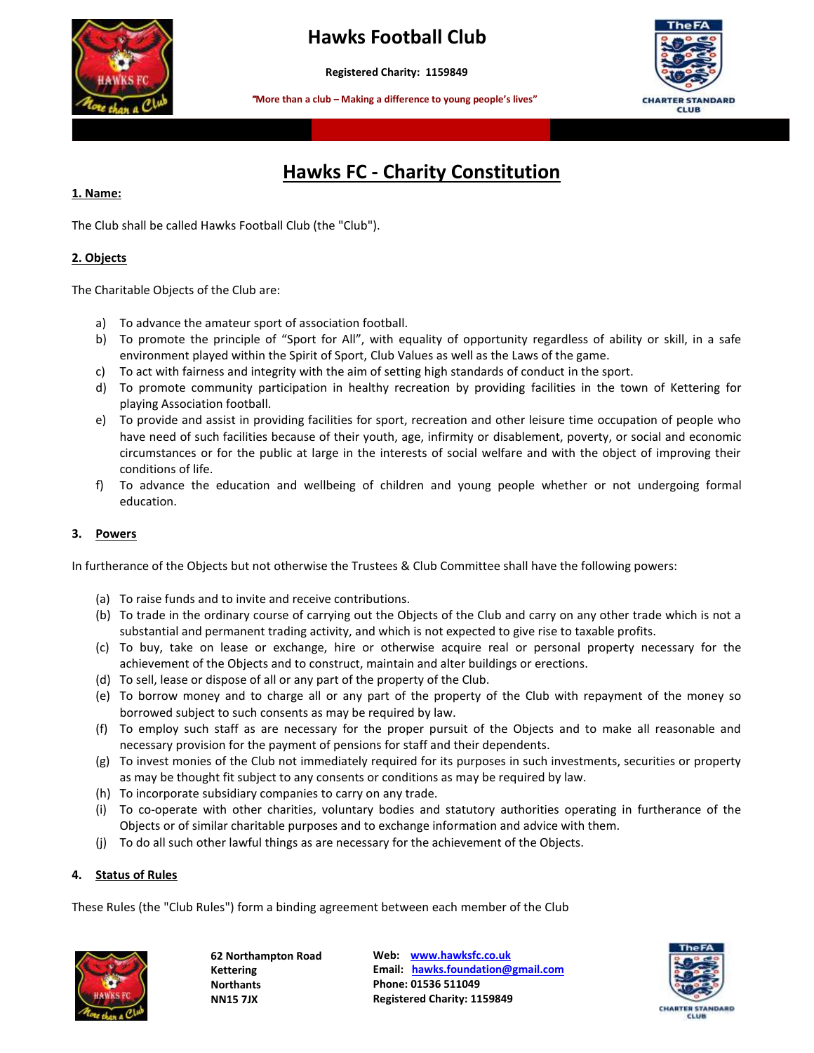

# **Hawks Football Club**

**Registered Charity: 1159849**

 **More than a club – Making a difference to young people's lives"**



# **Hawks FC - Charity Constitution**

## **1. Name:**

The Club shall be called Hawks Football Club (the "Club").

## **2. Objects**

The Charitable Objects of the Club are:

- a) To advance the amateur sport of association football.
- b) To promote the principle of "Sport for All", with equality of opportunity regardless of ability or skill, in a safe environment played within the Spirit of Sport, Club Values as well as the Laws of the game.
- c) To act with fairness and integrity with the aim of setting high standards of conduct in the sport.
- d) To promote community participation in healthy recreation by providing facilities in the town of Kettering for playing Association football.
- e) To provide and assist in providing facilities for sport, recreation and other leisure time occupation of people who have need of such facilities because of their youth, age, infirmity or disablement, poverty, or social and economic circumstances or for the public at large in the interests of social welfare and with the object of improving their conditions of life.
- f) To advance the education and wellbeing of children and young people whether or not undergoing formal education.

# **3. Powers**

In furtherance of the Objects but not otherwise the Trustees & Club Committee shall have the following powers:

- (a) To raise funds and to invite and receive contributions.
- (b) To trade in the ordinary course of carrying out the Objects of the Club and carry on any other trade which is not a substantial and permanent trading activity, and which is not expected to give rise to taxable profits.
- (c) To buy, take on lease or exchange, hire or otherwise acquire real or personal property necessary for the achievement of the Objects and to construct, maintain and alter buildings or erections.
- (d) To sell, lease or dispose of all or any part of the property of the Club.
- (e) To borrow money and to charge all or any part of the property of the Club with repayment of the money so borrowed subject to such consents as may be required by law.
- (f) To employ such staff as are necessary for the proper pursuit of the Objects and to make all reasonable and necessary provision for the payment of pensions for staff and their dependents.
- (g) To invest monies of the Club not immediately required for its purposes in such investments, securities or property as may be thought fit subject to any consents or conditions as may be required by law.
- (h) To incorporate subsidiary companies to carry on any trade.
- (i) To co-operate with other charities, voluntary bodies and statutory authorities operating in furtherance of the Objects or of similar charitable purposes and to exchange information and advice with them.
- (j) To do all such other lawful things as are necessary for the achievement of the Objects.

## **4. Status of Rules**

These Rules (the "Club Rules") form a binding agreement between each member of the Club



**62 Northampton Road Kettering Northants NN15 7JX** 

**Web: [www.hawksfc.co.uk](http://www.hawksfc.co.uk/) Email: [hawks.foundation@gmail.com](mailto:hawks.foundation@gmail.com) Phone: 01536 511049 Registered Charity: 1159849**

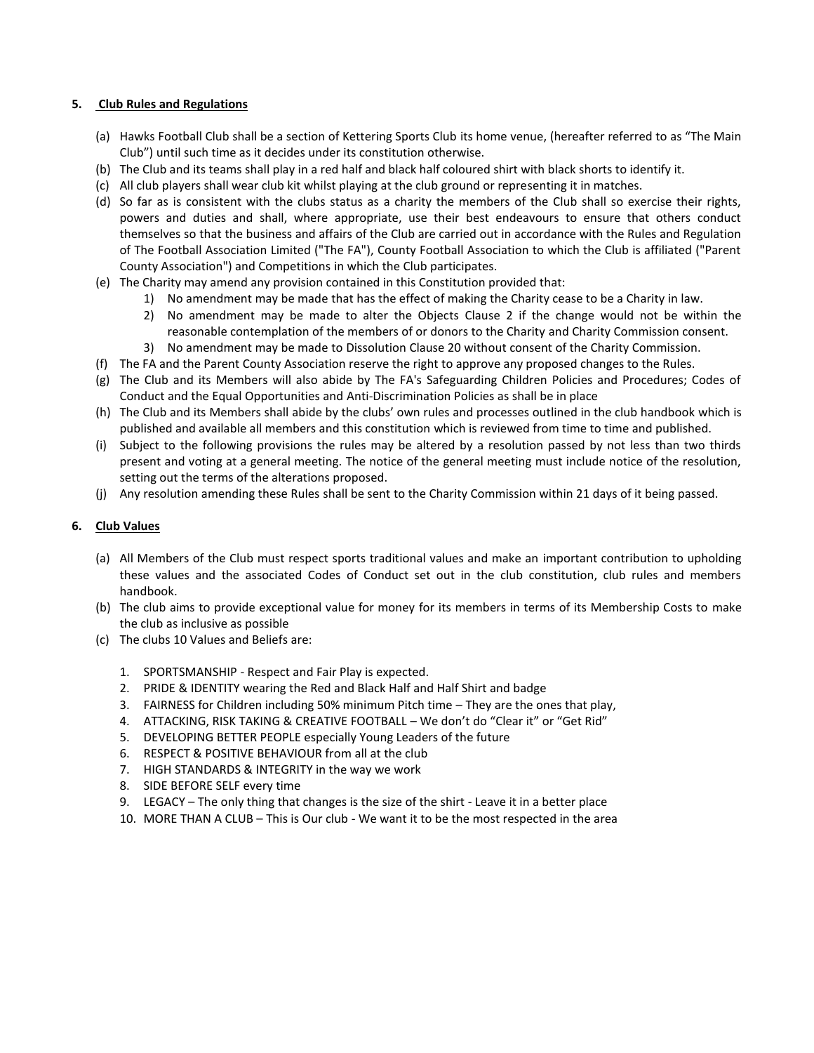#### **5. Club Rules and Regulations**

- (a) Hawks Football Club shall be a section of Kettering Sports Club its home venue, (hereafter referred to as "The Main Club") until such time as it decides under its constitution otherwise.
- (b) The Club and its teams shall play in a red half and black half coloured shirt with black shorts to identify it.
- (c) All club players shall wear club kit whilst playing at the club ground or representing it in matches.
- (d) So far as is consistent with the clubs status as a charity the members of the Club shall so exercise their rights, powers and duties and shall, where appropriate, use their best endeavours to ensure that others conduct themselves so that the business and affairs of the Club are carried out in accordance with the Rules and Regulation of The Football Association Limited ("The FA"), County Football Association to which the Club is affiliated ("Parent County Association") and Competitions in which the Club participates.
- (e) The Charity may amend any provision contained in this Constitution provided that:
	- 1) No amendment may be made that has the effect of making the Charity cease to be a Charity in law.
	- 2) No amendment may be made to alter the Objects Clause 2 if the change would not be within the reasonable contemplation of the members of or donors to the Charity and Charity Commission consent.
	- 3) No amendment may be made to Dissolution Clause 20 without consent of the Charity Commission.
- (f) The FA and the Parent County Association reserve the right to approve any proposed changes to the Rules.
- (g) The Club and its Members will also abide by The FA's Safeguarding Children Policies and Procedures; Codes of Conduct and the Equal Opportunities and Anti-Discrimination Policies as shall be in place
- (h) The Club and its Members shall abide by the clubs' own rules and processes outlined in the club handbook which is published and available all members and this constitution which is reviewed from time to time and published.
- (i) Subject to the following provisions the rules may be altered by a resolution passed by not less than two thirds present and voting at a general meeting. The notice of the general meeting must include notice of the resolution, setting out the terms of the alterations proposed.
- (j) Any resolution amending these Rules shall be sent to the Charity Commission within 21 days of it being passed.

## **6. Club Values**

- (a) All Members of the Club must respect sports traditional values and make an important contribution to upholding these values and the associated Codes of Conduct set out in the club constitution, club rules and members handbook.
- (b) The club aims to provide exceptional value for money for its members in terms of its Membership Costs to make the club as inclusive as possible
- (c) The clubs 10 Values and Beliefs are:
	- 1. SPORTSMANSHIP Respect and Fair Play is expected.
	- 2. PRIDE & IDENTITY wearing the Red and Black Half and Half Shirt and badge
	- 3. FAIRNESS for Children including 50% minimum Pitch time They are the ones that play,
	- 4. ATTACKING, RISK TAKING & CREATIVE FOOTBALL We don't do "Clear it" or "Get Rid"
	- 5. DEVELOPING BETTER PEOPLE especially Young Leaders of the future
	- 6. RESPECT & POSITIVE BEHAVIOUR from all at the club
	- 7. HIGH STANDARDS & INTEGRITY in the way we work
	- 8. SIDE BEFORE SELF every time
	- 9. LEGACY The only thing that changes is the size of the shirt Leave it in a better place
	- 10. MORE THAN A CLUB This is Our club We want it to be the most respected in the area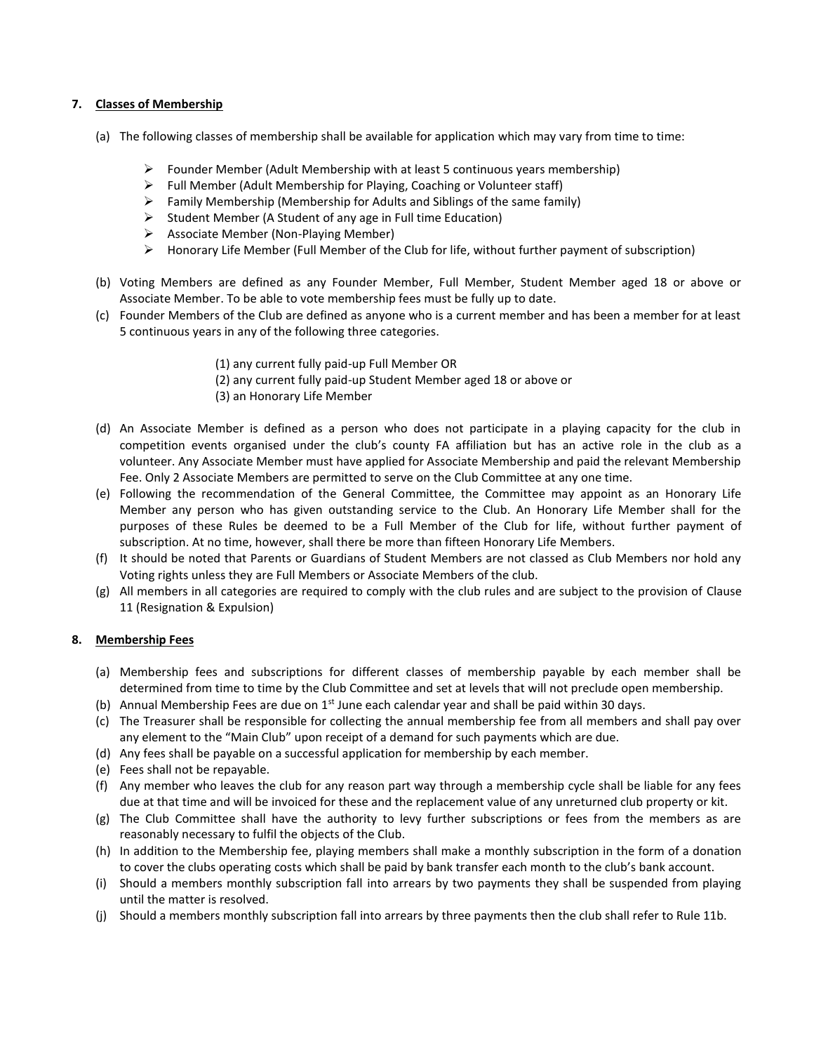## **7. Classes of Membership**

- (a) The following classes of membership shall be available for application which may vary from time to time:
	- $\triangleright$  Founder Member (Adult Membership with at least 5 continuous years membership)
	- $\triangleright$  Full Member (Adult Membership for Playing, Coaching or Volunteer staff)
	- $\triangleright$  Family Membership (Membership for Adults and Siblings of the same family)
	- ➢ Student Member (A Student of any age in Full time Education)
	- ➢ Associate Member (Non-Playing Member)
	- $\triangleright$  Honorary Life Member (Full Member of the Club for life, without further payment of subscription)
- (b) Voting Members are defined as any Founder Member, Full Member, Student Member aged 18 or above or Associate Member. To be able to vote membership fees must be fully up to date.
- (c) Founder Members of the Club are defined as anyone who is a current member and has been a member for at least 5 continuous years in any of the following three categories.
	- (1) any current fully paid-up Full Member OR
	- (2) any current fully paid-up Student Member aged 18 or above or
	- (3) an Honorary Life Member
- (d) An Associate Member is defined as a person who does not participate in a playing capacity for the club in competition events organised under the club's county FA affiliation but has an active role in the club as a volunteer. Any Associate Member must have applied for Associate Membership and paid the relevant Membership Fee. Only 2 Associate Members are permitted to serve on the Club Committee at any one time.
- (e) Following the recommendation of the General Committee, the Committee may appoint as an Honorary Life Member any person who has given outstanding service to the Club. An Honorary Life Member shall for the purposes of these Rules be deemed to be a Full Member of the Club for life, without further payment of subscription. At no time, however, shall there be more than fifteen Honorary Life Members.
- (f) It should be noted that Parents or Guardians of Student Members are not classed as Club Members nor hold any Voting rights unless they are Full Members or Associate Members of the club.
- (g) All members in all categories are required to comply with the club rules and are subject to the provision of Clause 11 (Resignation & Expulsion)

## **8. Membership Fees**

- (a) Membership fees and subscriptions for different classes of membership payable by each member shall be determined from time to time by the Club Committee and set at levels that will not preclude open membership.
- (b) Annual Membership Fees are due on  $1<sup>st</sup>$  June each calendar year and shall be paid within 30 days.
- (c) The Treasurer shall be responsible for collecting the annual membership fee from all members and shall pay over any element to the "Main Club" upon receipt of a demand for such payments which are due.
- (d) Any fees shall be payable on a successful application for membership by each member.
- (e) Fees shall not be repayable.
- (f) Any member who leaves the club for any reason part way through a membership cycle shall be liable for any fees due at that time and will be invoiced for these and the replacement value of any unreturned club property or kit.
- (g) The Club Committee shall have the authority to levy further subscriptions or fees from the members as are reasonably necessary to fulfil the objects of the Club.
- (h) In addition to the Membership fee, playing members shall make a monthly subscription in the form of a donation to cover the clubs operating costs which shall be paid by bank transfer each month to the club's bank account.
- (i) Should a members monthly subscription fall into arrears by two payments they shall be suspended from playing until the matter is resolved.
- (j) Should a members monthly subscription fall into arrears by three payments then the club shall refer to Rule 11b.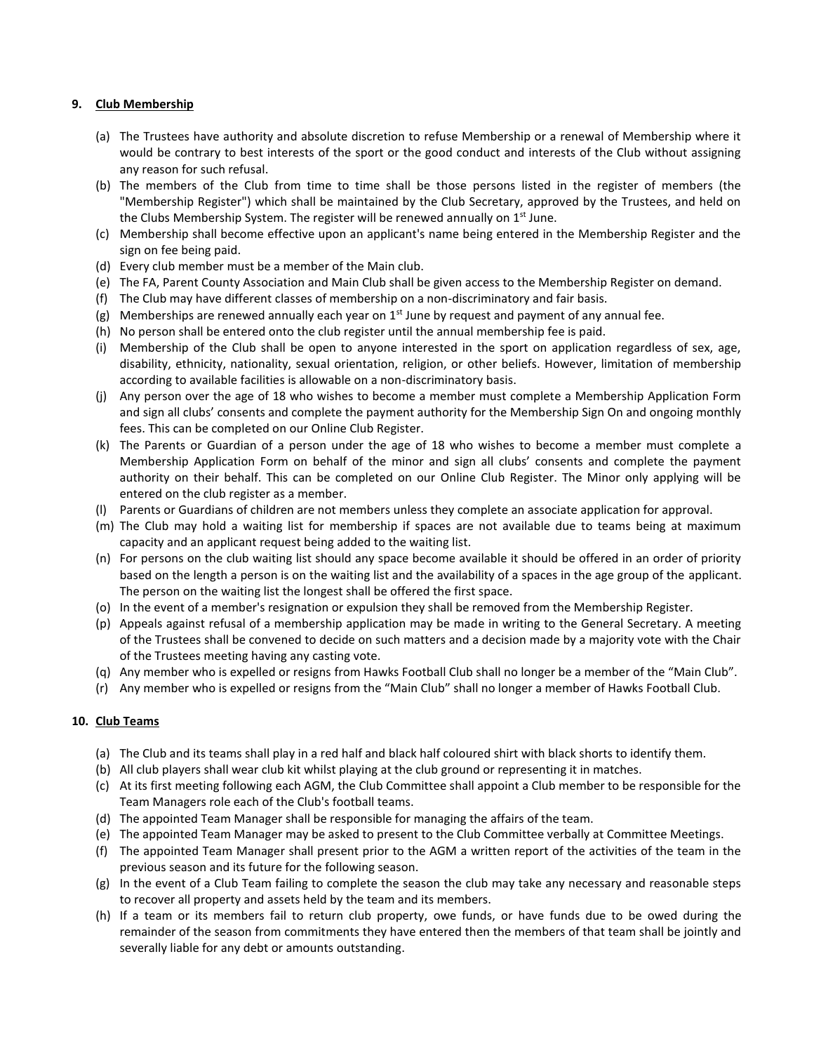#### **9. Club Membership**

- (a) The Trustees have authority and absolute discretion to refuse Membership or a renewal of Membership where it would be contrary to best interests of the sport or the good conduct and interests of the Club without assigning any reason for such refusal.
- (b) The members of the Club from time to time shall be those persons listed in the register of members (the "Membership Register") which shall be maintained by the Club Secretary, approved by the Trustees, and held on the Clubs Membership System. The register will be renewed annually on  $1<sup>st</sup>$  June.
- (c) Membership shall become effective upon an applicant's name being entered in the Membership Register and the sign on fee being paid.
- (d) Every club member must be a member of the Main club.
- (e) The FA, Parent County Association and Main Club shall be given access to the Membership Register on demand.
- (f) The Club may have different classes of membership on a non-discriminatory and fair basis.
- (g) Memberships are renewed annually each year on  $1<sup>st</sup>$  June by request and payment of any annual fee.
- (h) No person shall be entered onto the club register until the annual membership fee is paid.
- (i) Membership of the Club shall be open to anyone interested in the sport on application regardless of sex, age, disability, ethnicity, nationality, sexual orientation, religion, or other beliefs. However, limitation of membership according to available facilities is allowable on a non-discriminatory basis.
- (j) Any person over the age of 18 who wishes to become a member must complete a Membership Application Form and sign all clubs' consents and complete the payment authority for the Membership Sign On and ongoing monthly fees. This can be completed on our Online Club Register.
- (k) The Parents or Guardian of a person under the age of 18 who wishes to become a member must complete a Membership Application Form on behalf of the minor and sign all clubs' consents and complete the payment authority on their behalf. This can be completed on our Online Club Register. The Minor only applying will be entered on the club register as a member.
- (l) Parents or Guardians of children are not members unless they complete an associate application for approval.
- (m) The Club may hold a waiting list for membership if spaces are not available due to teams being at maximum capacity and an applicant request being added to the waiting list.
- (n) For persons on the club waiting list should any space become available it should be offered in an order of priority based on the length a person is on the waiting list and the availability of a spaces in the age group of the applicant. The person on the waiting list the longest shall be offered the first space.
- (o) In the event of a member's resignation or expulsion they shall be removed from the Membership Register.
- (p) Appeals against refusal of a membership application may be made in writing to the General Secretary. A meeting of the Trustees shall be convened to decide on such matters and a decision made by a majority vote with the Chair of the Trustees meeting having any casting vote.
- (q) Any member who is expelled or resigns from Hawks Football Club shall no longer be a member of the "Main Club".
- (r) Any member who is expelled or resigns from the "Main Club" shall no longer a member of Hawks Football Club.

## **10. Club Teams**

- (a) The Club and its teams shall play in a red half and black half coloured shirt with black shorts to identify them.
- (b) All club players shall wear club kit whilst playing at the club ground or representing it in matches.
- (c) At its first meeting following each AGM, the Club Committee shall appoint a Club member to be responsible for the Team Managers role each of the Club's football teams.
- (d) The appointed Team Manager shall be responsible for managing the affairs of the team.
- (e) The appointed Team Manager may be asked to present to the Club Committee verbally at Committee Meetings.
- (f) The appointed Team Manager shall present prior to the AGM a written report of the activities of the team in the previous season and its future for the following season.
- (g) In the event of a Club Team failing to complete the season the club may take any necessary and reasonable steps to recover all property and assets held by the team and its members.
- (h) If a team or its members fail to return club property, owe funds, or have funds due to be owed during the remainder of the season from commitments they have entered then the members of that team shall be jointly and severally liable for any debt or amounts outstanding.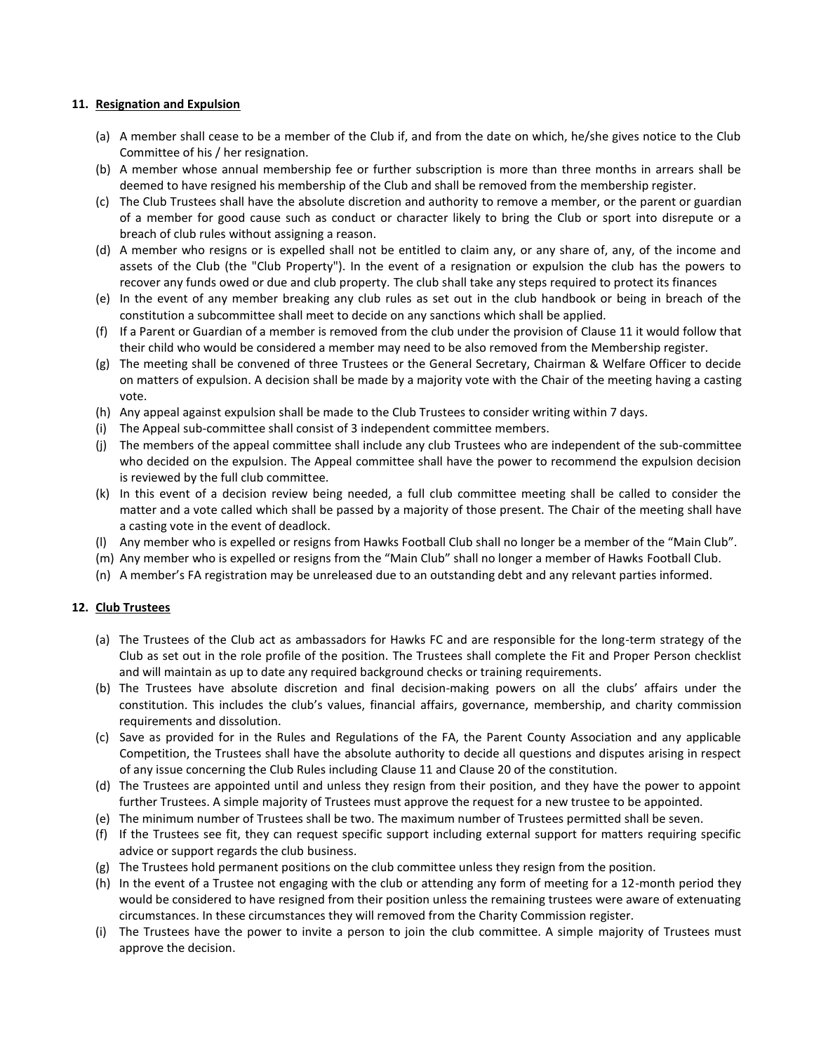#### **11. Resignation and Expulsion**

- (a) A member shall cease to be a member of the Club if, and from the date on which, he/she gives notice to the Club Committee of his / her resignation.
- (b) A member whose annual membership fee or further subscription is more than three months in arrears shall be deemed to have resigned his membership of the Club and shall be removed from the membership register.
- (c) The Club Trustees shall have the absolute discretion and authority to remove a member, or the parent or guardian of a member for good cause such as conduct or character likely to bring the Club or sport into disrepute or a breach of club rules without assigning a reason.
- (d) A member who resigns or is expelled shall not be entitled to claim any, or any share of, any, of the income and assets of the Club (the "Club Property"). In the event of a resignation or expulsion the club has the powers to recover any funds owed or due and club property. The club shall take any steps required to protect its finances
- (e) In the event of any member breaking any club rules as set out in the club handbook or being in breach of the constitution a subcommittee shall meet to decide on any sanctions which shall be applied.
- (f) If a Parent or Guardian of a member is removed from the club under the provision of Clause 11 it would follow that their child who would be considered a member may need to be also removed from the Membership register.
- (g) The meeting shall be convened of three Trustees or the General Secretary, Chairman & Welfare Officer to decide on matters of expulsion. A decision shall be made by a majority vote with the Chair of the meeting having a casting vote.
- (h) Any appeal against expulsion shall be made to the Club Trustees to consider writing within 7 days.
- (i) The Appeal sub-committee shall consist of 3 independent committee members.
- (j) The members of the appeal committee shall include any club Trustees who are independent of the sub-committee who decided on the expulsion. The Appeal committee shall have the power to recommend the expulsion decision is reviewed by the full club committee.
- (k) In this event of a decision review being needed, a full club committee meeting shall be called to consider the matter and a vote called which shall be passed by a majority of those present. The Chair of the meeting shall have a casting vote in the event of deadlock.
- (l) Any member who is expelled or resigns from Hawks Football Club shall no longer be a member of the "Main Club".
- (m) Any member who is expelled or resigns from the "Main Club" shall no longer a member of Hawks Football Club.
- (n) A member's FA registration may be unreleased due to an outstanding debt and any relevant parties informed.

## **12. Club Trustees**

- (a) The Trustees of the Club act as ambassadors for Hawks FC and are responsible for the long-term strategy of the Club as set out in the role profile of the position. The Trustees shall complete the Fit and Proper Person checklist and will maintain as up to date any required background checks or training requirements.
- (b) The Trustees have absolute discretion and final decision-making powers on all the clubs' affairs under the constitution. This includes the club's values, financial affairs, governance, membership, and charity commission requirements and dissolution.
- (c) Save as provided for in the Rules and Regulations of the FA, the Parent County Association and any applicable Competition, the Trustees shall have the absolute authority to decide all questions and disputes arising in respect of any issue concerning the Club Rules including Clause 11 and Clause 20 of the constitution.
- (d) The Trustees are appointed until and unless they resign from their position, and they have the power to appoint further Trustees. A simple majority of Trustees must approve the request for a new trustee to be appointed.
- (e) The minimum number of Trustees shall be two. The maximum number of Trustees permitted shall be seven.
- (f) If the Trustees see fit, they can request specific support including external support for matters requiring specific advice or support regards the club business.
- (g) The Trustees hold permanent positions on the club committee unless they resign from the position.
- (h) In the event of a Trustee not engaging with the club or attending any form of meeting for a 12-month period they would be considered to have resigned from their position unless the remaining trustees were aware of extenuating circumstances. In these circumstances they will removed from the Charity Commission register.
- (i) The Trustees have the power to invite a person to join the club committee. A simple majority of Trustees must approve the decision.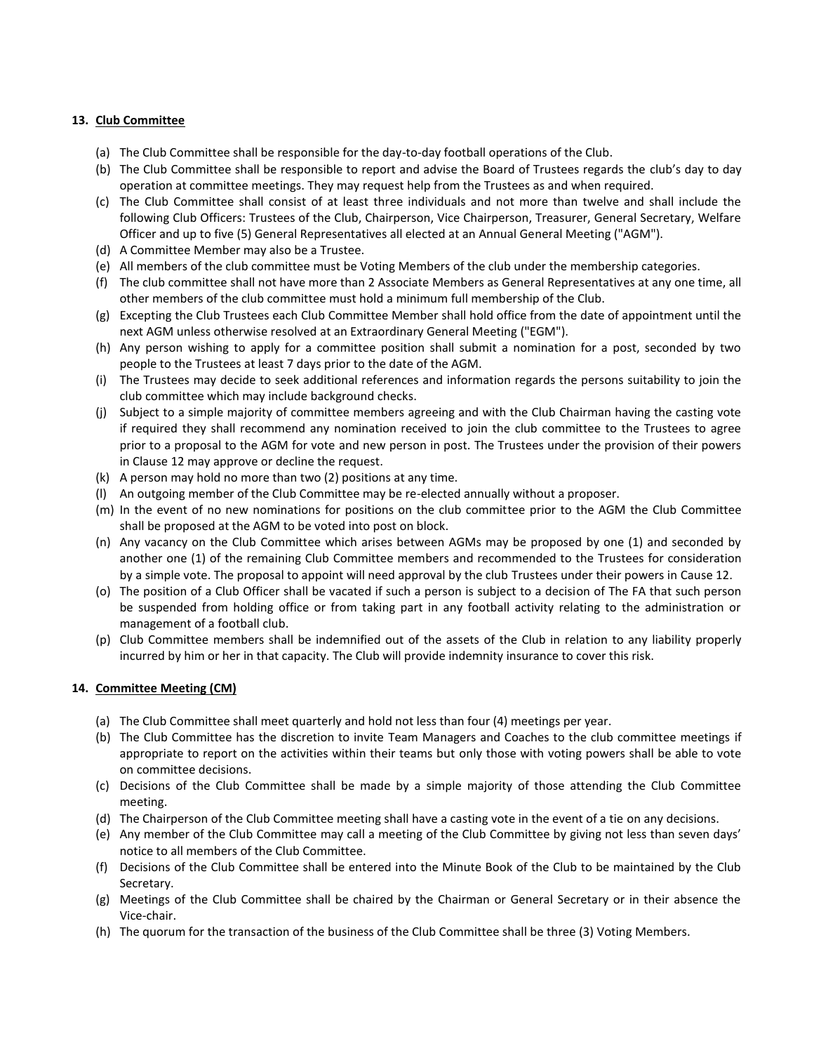## **13. Club Committee**

- (a) The Club Committee shall be responsible for the day-to-day football operations of the Club.
- (b) The Club Committee shall be responsible to report and advise the Board of Trustees regards the club's day to day operation at committee meetings. They may request help from the Trustees as and when required.
- (c) The Club Committee shall consist of at least three individuals and not more than twelve and shall include the following Club Officers: Trustees of the Club, Chairperson, Vice Chairperson, Treasurer, General Secretary, Welfare Officer and up to five (5) General Representatives all elected at an Annual General Meeting ("AGM").
- (d) A Committee Member may also be a Trustee.
- (e) All members of the club committee must be Voting Members of the club under the membership categories.
- (f) The club committee shall not have more than 2 Associate Members as General Representatives at any one time, all other members of the club committee must hold a minimum full membership of the Club.
- (g) Excepting the Club Trustees each Club Committee Member shall hold office from the date of appointment until the next AGM unless otherwise resolved at an Extraordinary General Meeting ("EGM").
- (h) Any person wishing to apply for a committee position shall submit a nomination for a post, seconded by two people to the Trustees at least 7 days prior to the date of the AGM.
- (i) The Trustees may decide to seek additional references and information regards the persons suitability to join the club committee which may include background checks.
- (j) Subject to a simple majority of committee members agreeing and with the Club Chairman having the casting vote if required they shall recommend any nomination received to join the club committee to the Trustees to agree prior to a proposal to the AGM for vote and new person in post. The Trustees under the provision of their powers in Clause 12 may approve or decline the request.
- (k) A person may hold no more than two (2) positions at any time.
- (l) An outgoing member of the Club Committee may be re-elected annually without a proposer.
- (m) In the event of no new nominations for positions on the club committee prior to the AGM the Club Committee shall be proposed at the AGM to be voted into post on block.
- (n) Any vacancy on the Club Committee which arises between AGMs may be proposed by one (1) and seconded by another one (1) of the remaining Club Committee members and recommended to the Trustees for consideration by a simple vote. The proposal to appoint will need approval by the club Trustees under their powers in Cause 12.
- (o) The position of a Club Officer shall be vacated if such a person is subject to a decision of The FA that such person be suspended from holding office or from taking part in any football activity relating to the administration or management of a football club.
- (p) Club Committee members shall be indemnified out of the assets of the Club in relation to any liability properly incurred by him or her in that capacity. The Club will provide indemnity insurance to cover this risk.

## **14. Committee Meeting (CM)**

- (a) The Club Committee shall meet quarterly and hold not less than four (4) meetings per year.
- (b) The Club Committee has the discretion to invite Team Managers and Coaches to the club committee meetings if appropriate to report on the activities within their teams but only those with voting powers shall be able to vote on committee decisions.
- (c) Decisions of the Club Committee shall be made by a simple majority of those attending the Club Committee meeting.
- (d) The Chairperson of the Club Committee meeting shall have a casting vote in the event of a tie on any decisions.
- (e) Any member of the Club Committee may call a meeting of the Club Committee by giving not less than seven days' notice to all members of the Club Committee.
- (f) Decisions of the Club Committee shall be entered into the Minute Book of the Club to be maintained by the Club Secretary.
- (g) Meetings of the Club Committee shall be chaired by the Chairman or General Secretary or in their absence the Vice-chair.
- (h) The quorum for the transaction of the business of the Club Committee shall be three (3) Voting Members.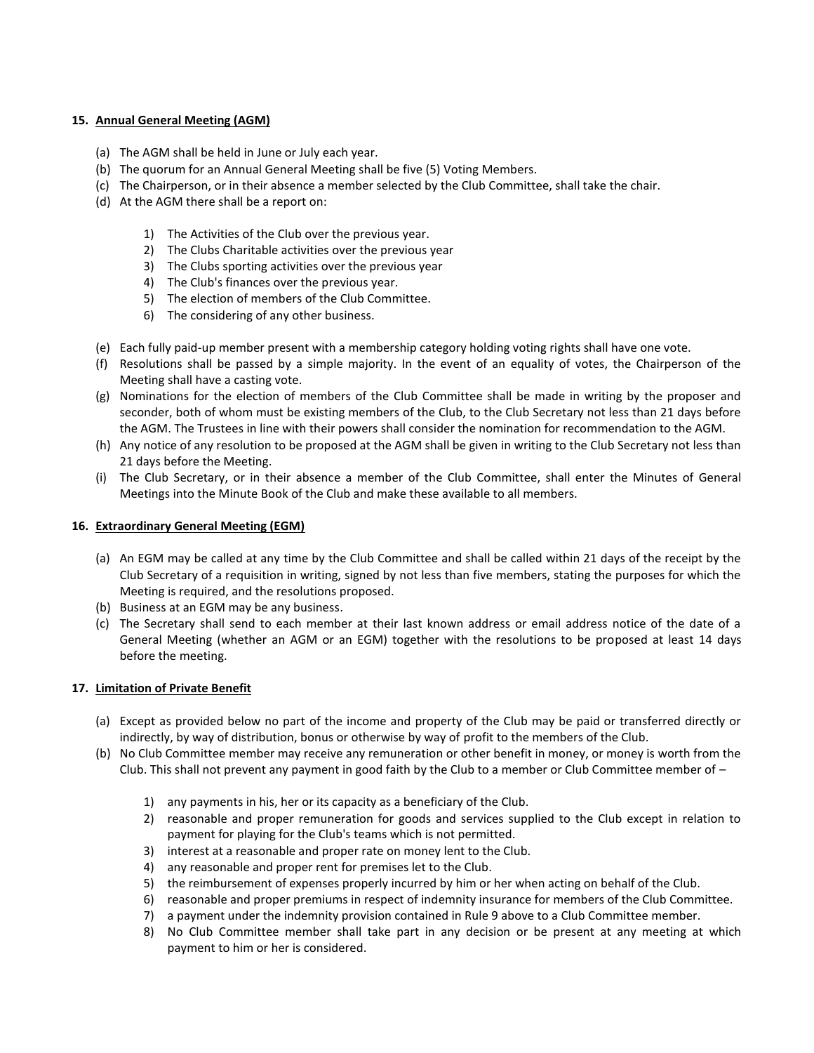## **15. Annual General Meeting (AGM)**

- (a) The AGM shall be held in June or July each year.
- (b) The quorum for an Annual General Meeting shall be five (5) Voting Members.
- (c) The Chairperson, or in their absence a member selected by the Club Committee, shall take the chair.
- (d) At the AGM there shall be a report on:
	- 1) The Activities of the Club over the previous year.
	- 2) The Clubs Charitable activities over the previous year
	- 3) The Clubs sporting activities over the previous year
	- 4) The Club's finances over the previous year.
	- 5) The election of members of the Club Committee.
	- 6) The considering of any other business.
- (e) Each fully paid-up member present with a membership category holding voting rights shall have one vote.
- (f) Resolutions shall be passed by a simple majority. In the event of an equality of votes, the Chairperson of the Meeting shall have a casting vote.
- (g) Nominations for the election of members of the Club Committee shall be made in writing by the proposer and seconder, both of whom must be existing members of the Club, to the Club Secretary not less than 21 days before the AGM. The Trustees in line with their powers shall consider the nomination for recommendation to the AGM.
- (h) Any notice of any resolution to be proposed at the AGM shall be given in writing to the Club Secretary not less than 21 days before the Meeting.
- (i) The Club Secretary, or in their absence a member of the Club Committee, shall enter the Minutes of General Meetings into the Minute Book of the Club and make these available to all members.

#### **16. Extraordinary General Meeting (EGM)**

- (a) An EGM may be called at any time by the Club Committee and shall be called within 21 days of the receipt by the Club Secretary of a requisition in writing, signed by not less than five members, stating the purposes for which the Meeting is required, and the resolutions proposed.
- (b) Business at an EGM may be any business.
- (c) The Secretary shall send to each member at their last known address or email address notice of the date of a General Meeting (whether an AGM or an EGM) together with the resolutions to be proposed at least 14 days before the meeting.

#### **17. Limitation of Private Benefit**

- (a) Except as provided below no part of the income and property of the Club may be paid or transferred directly or indirectly, by way of distribution, bonus or otherwise by way of profit to the members of the Club.
- (b) No Club Committee member may receive any remuneration or other benefit in money, or money is worth from the Club. This shall not prevent any payment in good faith by the Club to a member or Club Committee member of –
	- 1) any payments in his, her or its capacity as a beneficiary of the Club.
	- 2) reasonable and proper remuneration for goods and services supplied to the Club except in relation to payment for playing for the Club's teams which is not permitted.
	- 3) interest at a reasonable and proper rate on money lent to the Club.
	- 4) any reasonable and proper rent for premises let to the Club.
	- 5) the reimbursement of expenses properly incurred by him or her when acting on behalf of the Club.
	- 6) reasonable and proper premiums in respect of indemnity insurance for members of the Club Committee.
	- 7) a payment under the indemnity provision contained in Rule 9 above to a Club Committee member.
	- 8) No Club Committee member shall take part in any decision or be present at any meeting at which payment to him or her is considered.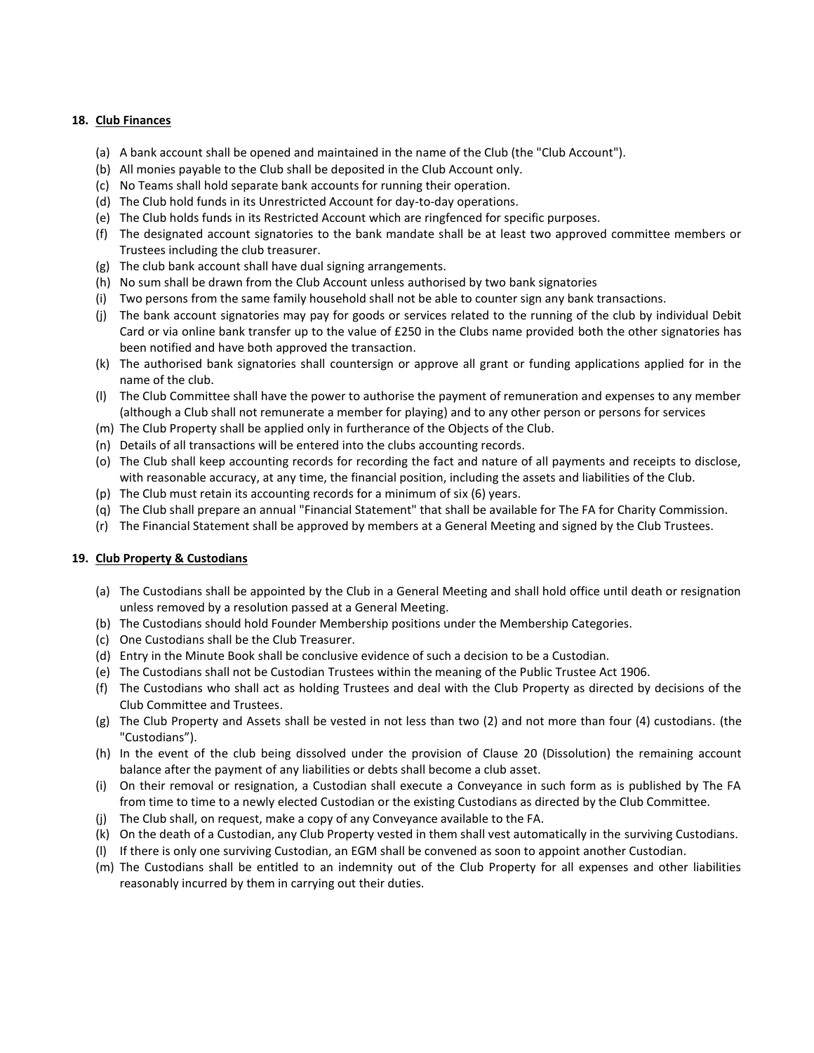#### **18. Club Finances**

- (a) A bank account shall be opened and maintained in the name of the Club (the "Club Account").
- (b) All monies payable to the Club shall be deposited in the Club Account only.
- (c) No Teams shall hold separate bank accounts for running their operation.
- (d) The Club hold funds in its Unrestricted Account for day-to-day operations.
- (e) The Club holds funds in its Restricted Account which are ringfenced for specific purposes.
- (f) The designated account signatories to the bank mandate shall be at least two approved committee members or Trustees including the club treasurer.
- (g) The club bank account shall have dual signing arrangements.
- (h) No sum shall be drawn from the Club Account unless authorised by two bank signatories
- (i) Two persons from the same family household shall not be able to counter sign any bank transactions.
- (j) The bank account signatories may pay for goods or services related to the running of the club by individual Debit Card or via online bank transfer up to the value of £250 in the Clubs name provided both the other signatories has been notified and have both approved the transaction.
- (k) The authorised bank signatories shall countersign or approve all grant or funding applications applied for in the name of the club.
- (l) The Club Committee shall have the power to authorise the payment of remuneration and expenses to any member (although a Club shall not remunerate a member for playing) and to any other person or persons for services
- (m) The Club Property shall be applied only in furtherance of the Objects of the Club.
- (n) Details of all transactions will be entered into the clubs accounting records.
- (o) The Club shall keep accounting records for recording the fact and nature of all payments and receipts to disclose, with reasonable accuracy, at any time, the financial position, including the assets and liabilities of the Club.
- (p) The Club must retain its accounting records for a minimum of six (6) years.
- (q) The Club shall prepare an annual "Financial Statement" that shall be available for The FA for Charity Commission.
- (r) The Financial Statement shall be approved by members at a General Meeting and signed by the Club Trustees.

## **19. Club Property & Custodians**

- (a) The Custodians shall be appointed by the Club in a General Meeting and shall hold office until death or resignation unless removed by a resolution passed at a General Meeting.
- (b) The Custodians should hold Founder Membership positions under the Membership Categories.
- (c) One Custodians shall be the Club Treasurer.
- (d) Entry in the Minute Book shall be conclusive evidence of such a decision to be a Custodian.
- (e) The Custodians shall not be Custodian Trustees within the meaning of the Public Trustee Act 1906.
- (f) The Custodians who shall act as holding Trustees and deal with the Club Property as directed by decisions of the Club Committee and Trustees.
- (g) The Club Property and Assets shall be vested in not less than two (2) and not more than four (4) custodians. (the "Custodians").
- (h) In the event of the club being dissolved under the provision of Clause 20 (Dissolution) the remaining account balance after the payment of any liabilities or debts shall become a club asset.
- (i) On their removal or resignation, a Custodian shall execute a Conveyance in such form as is published by The FA from time to time to a newly elected Custodian or the existing Custodians as directed by the Club Committee.
- (j) The Club shall, on request, make a copy of any Conveyance available to the FA.
- (k) On the death of a Custodian, any Club Property vested in them shall vest automatically in the surviving Custodians.
- (l) If there is only one surviving Custodian, an EGM shall be convened as soon to appoint another Custodian.
- (m) The Custodians shall be entitled to an indemnity out of the Club Property for all expenses and other liabilities reasonably incurred by them in carrying out their duties.